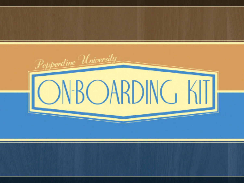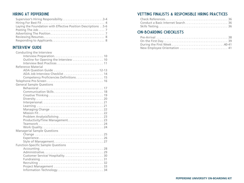| Supervisor's Hiring Responsibility3-4                          |  |
|----------------------------------------------------------------|--|
|                                                                |  |
| Laying the Foundation with Effective Position Descriptions 5-6 |  |
|                                                                |  |
|                                                                |  |
|                                                                |  |
|                                                                |  |

#### INTERVIEW GUIDE

| Conducting the Interview                  |
|-------------------------------------------|
|                                           |
| Outline for Opening the Interview 10      |
|                                           |
| Reference Material                        |
|                                           |
| ADA Job Interview Checklist  14           |
| Competency Proficiencies Definitions 15   |
|                                           |
| <b>General Sample Questions</b>           |
|                                           |
|                                           |
|                                           |
|                                           |
|                                           |
|                                           |
| Managing Change  22                       |
|                                           |
|                                           |
| Problem Analysis/Solving  23              |
|                                           |
|                                           |
|                                           |
| <b>Managerial Sample Questions</b>        |
|                                           |
|                                           |
|                                           |
| <b>Function-Specific Sample Questions</b> |
|                                           |
|                                           |
|                                           |
|                                           |
|                                           |
|                                           |
|                                           |
|                                           |

### VETTING FINALISTS & RESPONSIBLE HIRING PRACTICES

| Conduct a Basic Internet Search 36 |  |
|------------------------------------|--|
|                                    |  |

#### ON-BOARDING CHECKLISTS

| New Employee Orientation  41 |  |  |  |  |  |  |  |
|------------------------------|--|--|--|--|--|--|--|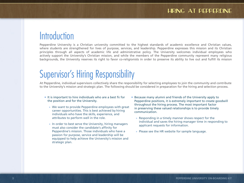# **Introduction**

Pepperdine University is a Christian university committed to the highest standards of academic excellence and Christian values, where students are strengthened for lives of purpose, services, and leadership. Pepperdine expresses this mission and its Christian principles through all aspects of academic life and administrative policy. The University welcomes individual employees who actively support the University's Christian mission, and while the members of the Pepperdine community represent many religious backgrounds, the University reserves its right to favor co-religionists in order to preserve its ability to live out and fulfill its mission

# Supervisor's Hiring Responsibility

At Pepperdine, individual supervisors collectively share the responsibility for selecting employees to join the community and contribute to the University's mission and strategic plan. The following should be considered in preparation for the hiring and selection process.

- the position and for the University.
	- » We want to provide Pepperdine employees with great career opportunities. This is best achieved by hiring individuals who have the skills, experience, and attributes to perform well in the role.
	- » In order to best serve the University, hiring managers must also consider the candidate's affinity for Pepperdine's mission. Those individuals who have a passion for purpose, service and leadership will be equipped to help achieve the University's mission and strategic plan.
- It is important to hire individuals who are a best fit for Because many alumni and friends of the University apply to Pepperdine positions, it is extremely important to create goodwill throughout the hiring process. The most important factor in preserving these valued relationships is to provide timely communication.
	- » Responding in a timely manner shows respect for the individual and saves the hiring manager time in responding to applicant requests for information.
	- » Please see the HR website for sample language.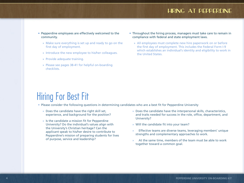- Pepperdine employees are effectively welcomed to the community.
	- » Make sure everything is set up and ready to go on the first day of employment.
	- » Introduce the new employee to his/her colleagues.
	- » Provide adequate training.
	- » Please see pages 38-41 for helpful on-boarding checklists.
- Throughout the hiring process, managers must take care to remain in compliance with federal and state employment laws.
	- » All employees must complete new hire paperwork on or before the first day of employment. This includes the Federal Form I-9 which establishes an individual's identity and eligibility to work in the United States.

# Hiring For Best Fit

• Please consider the following questions in determining candidates who are a best fit for Pepperdine University

- » Does the candidate have the right skill set, experience, and background for the position?
- » Is the candidate a mission fit for Pepperdine University? Do the individual's values align with the University's Christian heritage? Can the applicant speak to his/her desire to contribute to Pepperdine's mission of preparing students for lives of purpose, service and leadership?
- » Does the candidate have the interpersonal skills, characteristics, and traits needed for success in the role, office, department, and University?
- » Will the candidate fit into your team?
- » Effective teams are diverse teams, leveraging members' unique strengths and complementary approaches to work.
- At the same time, members of the team must be able to work together toward a common goal.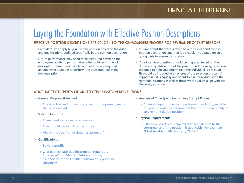# Laying the Foundation with Effective Position Descriptions

#### EFFECTIVE POSITION DESCRIPTIONS ARE CRUCIAL TO THE ON-BOARDING PROCESS FOR SEVERAL IMPORTANT REASONS:

- Candidates will apply to your posted position based on the duties and qualifications outlined specifically in the position description.
- Future performance may need to be measured based on the employee's ability to perform the duties outlined in the job description. Sometimes disciplinary measures are required if an employee is unable to perform the tasks outlined in the job description.
- It is important that care is taken to write a clear and concise position description, and that it be regularly updated on an ongoing basis to ensure consistency.
- Your interview questions should be prepared based on the duties and qualifications of the position. Additionally, questions designed to help you determine if the individual is a mission fit should be included at all phases of the selection process. At Pepperdine, it is equally important to hire individuals with the right qualifications as well as those whose values align with the University's mission.

#### WHAT ARE THE ELEMENTS OF AN EFFECTIVE POSITION DESCRIPTION?

- General Purpose Statement:
	- » This is a clear and succinct statement of the primary reason the position exists.
- Specific Job Duties:
	- » These need to be clear and concise.
	- » They should begin with an action verb.
	- » Always include, "other duties as assigned."
- Qualifications
	- » Be very specific
	- » Characterize each qualification as "required". "preferred", or "desired."Always include, "supportive of the Christian mission of Pepperdine University.
- Analysis of Time Spent Performing Exempt Duties
	- » A percentage of time spent performing each duty must be assigned in order to determine if the position can qualify as an exempt, salaried position.
- Physical Requirements
	- » List any physical requirements that are essential to the performance of the position, if applicable. For example "Must be able to lift and carry 20 lbs."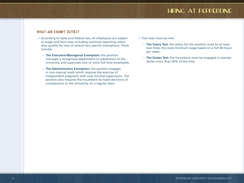#### WHAT ARE EXEMPT DUTIES?

- According to state and federal law, all employees are subject to wage and hour laws including overtime reporting unless they qualify for one of several very specific exemptions. These include:
	- » **The Executive/Managerial Exemption:** the position manages a recognized department or subdivision of the University and supervises two or more full-time employees.
	- » **The Administrative Exemption:** the position engages in non-manual work which requires the exercise of independent judgment with only minimal supervision. The position also requires the incumbent to make decisions of consequence to the University on a regular basis.
- Two tests must be met:
	- » **The Salary Test:** the salary for the position must be at least two times the state minimum wage based on a full 40 hours per week.
	- » **The Duties Test:** the incumbent must be engaged in exempt duties more than 50% of the time.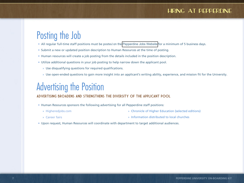# Posting the Job

- All regular full-time staff positions must be posted on the [Pepperdine Jobs Website](http://jobs.pepperdine.edu/cw/en/listing/) for a minimum of 5 business days.
- Submit a new or updated position description to Human Resources at the time of posting .
- Human resources will create a job posting from the details included in the position description .
- Utilize additional questions in your job posting to help narrow down the applicant pool .
	- » Use disqualifying questions for required qualifications .
	- » Use open-ended questions to gain more insight into an applicant's writing ability, experience, and mission fit for the University .

# Advertising the Position

#### ADVERTISING BROADENS AND STRENGTHENS THE DIVERSITY OF THE APPLICANT POOL

- Human Resources sponsors the following advertising for all Pepperdine staff positions:
	- » Higheredjobs.com

» Chronicle of Higher Education (selected editions)

» Career fairs

- » Information distributed to local churches
- Upon request, Human Resources will coordinate with department to target additional audiences.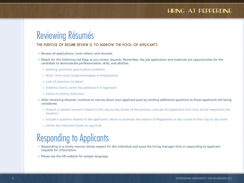# Reviewing Résumés

#### THE PURPOSE OF RESUME REVIEW IS TO NARROW THE POOL OF APPLICANTS

- Review all applications, cover letters, and résumés.
- Watch for the following red flags as you review résumés. Remember, the job application and materials are opportunities for the candidate to demonstrate professionalism, skills, and abilities.
	- » Spelling, grammar, punctuation problems
	- » Short- term work assignments/gaps in employment
	- » Lack of attention to detail
	- » Evidence that a career has plateaued or regressed
	- » Failure to follow directions
- After reviewing résumés, continue to narrow down your applicant pool by sending additional questions to those applicants still being considered.
	- » Present a realistic scenario related to the day-to-day duties of the position, and ask the applicants how they would respond to the situation.
	- » Include a question related to the applicants' desire to promote the mission of Pepperdine in the course of their day to day work.
	- » Utilize the Interview Guide on pgs 9-34

# Responding to Applicants

- Responding in a timely manner shows respect for the individual and saves the hiring manager time in responding to applicant requests for information.
- Please see the HR website for sample language.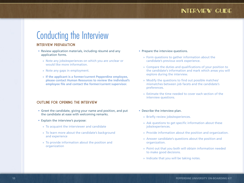# Conducting the Interview

#### INTERVIEW PREPARATION

- Review application materials, including résumé and any application forms.
	- » Note any jobs/experiences on which you are unclear or would like more information.
	- » Note any gaps in employment.
	- » **If the applicant is a former/current Pepperdine employee, please contact Human Resources to review the individual's employee file and contact the former/current supervisor.**

#### OUTLINE FOR OPENING THE INTERVIEW

- Greet the candidate, giving your name and position, and put the candidate at ease with welcoming remarks.
- Explain the interview's purpose:
	- » To acquaint the interviewer and candidate
	- » To learn more about the candidate's background and experience
	- » To provide information about the position and organization
- Prepare the interview questions.
	- » Form questions to gather information about the candidate's previous work experience.
	- » Compare the duties and qualifications of your position to the candidate's information and mark which areas you will explore during the interview.
	- » Modify the questions to find out possible matches/ mismatches between job facets and the candidate's preferences.
	- » Estimate the time needed to cover each section of the interview questions.
- Describe the interview plan.
	- » Briefly review jobs/experiences.
	- » Ask questions to get specific information about these jobs/experiences.
	- » Provide information about the position and organization.
	- » Answer candidate's questions about the position and organization.
	- » Point out that you both will obtain information needed to make good decisions.
	- » Indicate that you will be taking notes.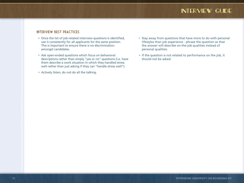#### INTERVIEW BEST PRACTICES

- Once the list of job-related interview questions is identified, use it consistently for all applicants for the same position. This is important to ensure there is no discrimination amongst candidates.
- Ask open-ended questions which focus on behavioral descriptions rather than simply "yes or no" questions (i.e. have them describe a work situation in which they handled stress well rather than just asking if they can "handle stress well").
- Actively listen; do not do all the talking.
- Stay away from questions that have more to do with personal lifestyles than job experience - phrase the question so that the answer will describe on-the-job qualities instead of personal qualities.
- If the question is not related to performance on the job, it should not be asked.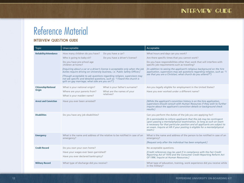# Reference Material

#### INTERVIEW QUESTION GUIDE

| <b>Topic</b>                  | Unacceptable                                                                                                               |                                                                              | Acceptable                                                                                                                                                                                                                                                                                                        |  |  |  |  |  |
|-------------------------------|----------------------------------------------------------------------------------------------------------------------------|------------------------------------------------------------------------------|-------------------------------------------------------------------------------------------------------------------------------------------------------------------------------------------------------------------------------------------------------------------------------------------------------------------|--|--|--|--|--|
| <b>Reliability/Attendance</b> | How many children do you have?                                                                                             | Do you have a car?                                                           | What hours and days can you work?                                                                                                                                                                                                                                                                                 |  |  |  |  |  |
|                               | Who is going to baby-sit?                                                                                                  | Do you have a driver's license?                                              | Are there specific times that you cannot work?                                                                                                                                                                                                                                                                    |  |  |  |  |  |
|                               | Do you have pre-school age<br>children at home?                                                                            |                                                                              | Do you have responsibilities other than work that will interfere with<br>specific job requirements such as traveling?                                                                                                                                                                                             |  |  |  |  |  |
|                               | duties require driving on University business, i.e. Public Safety Officer.}                                                | [Inquiring about a car or a driver's license is acceptable only when the job | [In addition to seeing the applicant's religious background on the hire<br>application, supervisors may ask questions regarding religion, such as: "I                                                                                                                                                             |  |  |  |  |  |
|                               | not ask specific and detailed questions, such as: "I heard the church is<br>split on gay marriage; what side are you on?"} | {Though acceptable to ask questions regarding religion, supervisors may      | see that you are a Christian; what church do you attend?"}                                                                                                                                                                                                                                                        |  |  |  |  |  |
| <b>Citizenship/National</b>   | What is your national origin?                                                                                              | What is your father's surname?                                               | Are you legally eligible for employment in the United States?                                                                                                                                                                                                                                                     |  |  |  |  |  |
| <b>Origin</b>                 | Where are your parents from?                                                                                               | What are the names of your                                                   | Have you ever worked under a different name?                                                                                                                                                                                                                                                                      |  |  |  |  |  |
|                               | What is your maiden name?                                                                                                  | relatives?                                                                   |                                                                                                                                                                                                                                                                                                                   |  |  |  |  |  |
| <b>Arrest and Conviction</b>  | Have you ever been arrested?                                                                                               |                                                                              | [While the applicant's conviction history is on the hire application,<br>supervisors should consult with Human Resources if they wish to further<br>inquire about the applicant's conviction details or background check<br>results.}                                                                             |  |  |  |  |  |
| <b>Disabilities</b>           | Do you have any job disabilities?                                                                                          |                                                                              | Can you perform the duties of the job you are applying for?                                                                                                                                                                                                                                                       |  |  |  |  |  |
|                               |                                                                                                                            |                                                                              | [It is permissible to inform applicants that the job may be contingent<br>upon passing a mental/physical examination, so long as such an exam<br>is necessary for that particular position and all applicants are subject to<br>an exam. Inquire at HR if your posting is eligible for a mental/physical<br>exam. |  |  |  |  |  |
| <b>Emergency</b>              |                                                                                                                            | What is the name and address of the relative to be notified in case of an    | What is the name and address of the person to be notified in case of an                                                                                                                                                                                                                                           |  |  |  |  |  |
|                               | emergency?                                                                                                                 |                                                                              | emergency?<br>[Request only after the individual has been employed.]                                                                                                                                                                                                                                              |  |  |  |  |  |
|                               |                                                                                                                            |                                                                              |                                                                                                                                                                                                                                                                                                                   |  |  |  |  |  |
| <b>Credit Record</b>          | Do you own your own home?                                                                                                  |                                                                              | No acceptable questions.                                                                                                                                                                                                                                                                                          |  |  |  |  |  |
|                               | Have your wages ever been garnished?<br>Have you ever declared bankruptcy?                                                 |                                                                              | [Credit references may be used if in compliance with the Fair Credit<br>Reporting Act of 1970 and the Consumer Credit Reporting Reform Act<br>Of 1996. Inquire at Human Resources.]                                                                                                                               |  |  |  |  |  |
| <b>Military Record</b>        | What type of discharge did you receive?                                                                                    |                                                                              | What type of education, training, work experience did you receive while<br>in the military?                                                                                                                                                                                                                       |  |  |  |  |  |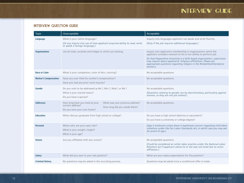#### INTERVIEW QUESTION GUIDE

| <b>Topic</b>                 | Unacceptable                                                                                                                                          | Acceptable                                                                                                                                                                                                                                                                                                                                                                   |  |  |  |  |  |  |
|------------------------------|-------------------------------------------------------------------------------------------------------------------------------------------------------|------------------------------------------------------------------------------------------------------------------------------------------------------------------------------------------------------------------------------------------------------------------------------------------------------------------------------------------------------------------------------|--|--|--|--|--|--|
| Language                     | What is your native language?<br>[Or any inquiry into use of how applicant acquired ability to read, write<br>or speak a foreign language.]           | Inquiry into languages applicant can speak and write fluently.<br>[Only if the job requires additional languages.]                                                                                                                                                                                                                                                           |  |  |  |  |  |  |
| <b>Organizations</b>         | List all clubs, societies and lodges to which you belong.                                                                                             | Inquiry into applicant's membership in organizations which the<br>applicant considers relevant to his or her ability to perform job.<br>[In that Pepperdine University is a faith-based organization, supervisors<br>may inquire about applicants' religious affiliations. Please see<br>appropriate questions regarding religion in the Reliability/Attendance<br>section.} |  |  |  |  |  |  |
| <b>Race or Color</b>         | What is your complexion, color of skin, coloring?                                                                                                     | No acceptable questions.                                                                                                                                                                                                                                                                                                                                                     |  |  |  |  |  |  |
| <b>Worker's Compensation</b> | Have you ever filed for worker's compensation?<br>Have you had any prior work injuries?                                                               | No acceptable questions.                                                                                                                                                                                                                                                                                                                                                     |  |  |  |  |  |  |
| <b>Gender</b>                | Do you wish to be addressed as Mr.?, Mrs.?, Miss?, or Ms.?<br>What is your marital status?<br>Do you have a spouse?                                   | No acceptable questions.<br>[Questions relating to gender can be discriminatory, particularly against<br>women, as they are not job related.]                                                                                                                                                                                                                                |  |  |  |  |  |  |
| <b>Addresses</b>             | What was your previous address?<br>How long have you lived at your<br>current address?<br>How long did you reside there?<br>Do you own your own home? | No acceptable questions.                                                                                                                                                                                                                                                                                                                                                     |  |  |  |  |  |  |
| <b>Education</b>             | When did you graduate from high school or college?                                                                                                    | Do you have a high school diploma or equivalent?<br>Do you have a university or college degree?                                                                                                                                                                                                                                                                              |  |  |  |  |  |  |
| <b>Personal</b>              | What color are your eyes, hair?<br>What is your weight, height?<br>What is your age?                                                                  | [Age is Irrelevant unless there is legitimate concern regarding child labor<br>violations under the Fair Labor Standards Act, in which case you may ask<br>for proof of age.]                                                                                                                                                                                                |  |  |  |  |  |  |
| <b>Unions</b>                | Are you affiliated with any unions?                                                                                                                   | No acceptable questions.<br>[Could be considered an unfair labor practice under the National Labor<br>Relations Act if applicant claims he or she was not hired due to union<br>affiliation.]                                                                                                                                                                                |  |  |  |  |  |  |
| <b>Salary</b>                | What did you earn in your last position?                                                                                                              | What are your salary expectations for this position?                                                                                                                                                                                                                                                                                                                         |  |  |  |  |  |  |
| <b>Criminal History</b>      | No questions may be asked in the recruiting process.                                                                                                  | Questions may be asked once a conditional offer is made.                                                                                                                                                                                                                                                                                                                     |  |  |  |  |  |  |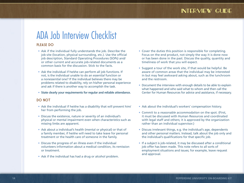# ADA Job Interview Checklist

#### PLEASE DO…

- Ask if the individual fully understands the job. Describe the job site (location, physical surrounding, etc.). Use the official job description, Standard Operating Procedures (SOPs) and/ or other current and accurate job-related documents as a common basis for the discussion. Stick to the facts.
- Ask the individual if he/she can perform all job functions. If not, is the individual unable to do an *essential* function or a *nonessential* one? If the individual believes there may be problems related to disability, rely on his/her personal experience and ask if there is another way to accomplish the task.
- **• State clearly your requirements for regular and reliable attendance.**

#### DO NOT

- Ask the individual if he/she has a disability that will prevent him/ her from performing the job.
- Discuss the existence, nature or severity of an individual's physical or mental impairment even when characteristics such as missing limbs are apparent.
- Ask about a individual's health (mental or physical) or that of a family member, if he/she will need to take leave for personal treatment or the health care of someone in the family.
- Discuss the progress of an illness even if the individual volunteers information about a medical condition, its remission or treatment.
- Ask if the individual has had a drug or alcohol problem.
- Cover the duties this position is responsible for completing. Focus on the end product, not simply the way it is done now or has been done in the past. Discuss the quality, quantity and timeliness of work that you will expect.
- Suggest a tour of the work site, if that would be helpful. Be aware of common areas that the individual may be interested in but may feel awkward asking about, such as the lunchroom and the restroom.
- Document the interview with enough details to be able to explain what happened and who said what to whom and then call the Center for Human Resources for advice and assistance, if necessary.
- Ask about the individual's workers' compensation history.
- Commit to a *reasonable accommodation* on the spot. (First, it must be discussed with Human Resources and coordinated with legal staff and others; it is approved by the organization rather than an individual supervisor.)
- Discuss irrelevant things, e.g. the individual's age, dependents and other personal matters. Instead, talk about the job only and the individual's qualifications for that specific job.
- If a subject is job-related, it may be discussed after a conditional job offer has been made. This note refers to all sorts of employment situations and issues; for example, leave request and approval.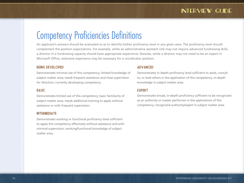# Competency Proficiencies Definitions

An applicant's answers should be evaluated so as to identify his/her proficiency level in any given area. The proficiency level should complement the position expectations. For example, while an administrative assistant role may not require advanced fundraising skills, a director in a fundraising capacity should have appropriate experience; likewise, while a director may not need to be an expert in Microsoft Office, extensive experience may be necessary for a coordinator position.

#### BEING DEVELOPED

Demonstrates minimal use of this competency; limited knowledge of subject matter area; needs frequent assistance and close supervision for direction; currently developing competency.

#### **BASIC**

Demonstrates limited use of this competency; basic familiarity of subject matter area; needs additional training to apply without assistance or with frequent supervision.

#### **INTERMEDIATE**

Demonstrates working or functional proficiency level sufficient to apply this competency effectively without assistance and with minimal supervision; working/functional knowledge of subject matter area.

#### ADVANCED

Demonstrates in-depth proficiency level sufficient to assist, consult to, or lead others in the application of this competency; in-depth knowledge in subject matter area.

#### EXPERT

Demonstrates broad, in-depth proficiency sufficient to be recognized as an authority or master performer in the applications of this competency; recognized authority/expert in subject matter area.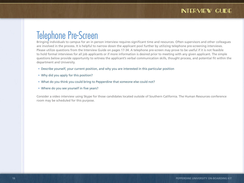# Telephone Pre-Screen

Bringing individuals to campus for an in person interview requires significant time and resources. Often supervisors and other colleagues are involved in the process. It is helpful to narrow down the applicant pool further by utilizing telephone pre-screening interviews. Please utilize questions from the Interview Guide on pages 17-34. A telephone pre-screen may prove to be useful if it is not feasible to hold formal interviews for all job applicants or if more information is desired prior to meeting with any given applicant. The simple questions below provide opportunity to witness the applicant's verbal communication skills, thought process, and potential fit within the department and University.

- Describe yourself, your current position, and why you are interested in this particular position
- Why did you apply for this position?
- What do you think you could bring to Pepperdine that someone else could not?
- Where do you see yourself in five years?

Consider a video interview using Skype for those candidates located outside of Southern California. The Human Resources conference room may be scheduled for this purpose.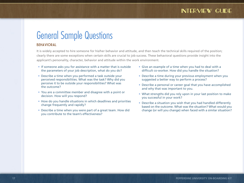# General Sample Questions

#### **BEHAVIORAL**

It is widely accepted to hire someone for his/her behavior and attitude, and then teach the technical skills required of the position; clearly there are some exceptions when certain skills are crucial to job success. These behavioral questions provide insight into the applicant's personality, character, behavior and attitude within the work environment.

- If someone asks you for assistance with a matter that is outside the parameters of your job description, what do you do?
- Describe a time when you performed a task outside your perceived responsibilities. What was the task? Why did you perceive it to be outside your responsibilities? What was the outcome?
- You are a committee member and disagree with a point or decision. How will you respond?
- How do you handle situations in which deadlines and priorities change frequently and rapidly?
- Describe a time when you were part of a great team. How did you contribute to the team's effectiveness?
- Give an example of a time when you had to deal with a difficult co-worker. How did you handle the situation?
- Describe a time during your previous employment when you suggested a better way to perform a process?
- Describe a personal or career goal that you have accomplished and why that was important to you.
- What strengths did you rely upon in your last position to make you successful in your work?
- Describe a situation you wish that you had handled differently based on the outcome. What was the situation? What would you change (or will you change) when faced with a similar situation?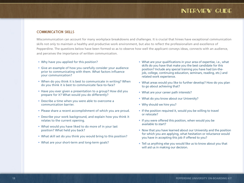#### COMMUNICATION SKILLS

Miscommunication can account for many workplace breakdowns and challenges. It is crucial that hirees have exceptional communication skills not only to maintain a healthy and productive work environment, but also to reflect the professionalism and excellence of Pepperdine. The questions below have been formed so as to observe how well the applicant conveys ideas, connects with an audience, and perceives the importance of written communication.

- Why have you applied for this position?
- Give an example of how you carefully consider your audience prior to communicating with them. What factors influence your communication?
- When do you think it is best to communicate in writing? When do you think it is best to communicate face-to-face?
- Have you ever given a presentation to a group? How did you prepare for it? What would you do differently?
- Describe a time when you were able to overcome a communication barrier.
- Please share a recent accomplishment of which you are proud.
- Describe your work background, and explain how you think it relates to the current opening.
- What would you have liked to do more of in your last position? What held you back?
- What skill set do you think you would bring to this position?
- What are your short-term and long-term goals?
- What are your qualifications in your area of expertise, i.e., what skills do you have that make you the best candidate for this position? Include any special training you have had (on-thejob, college, continuing education, seminars, reading, etc.) and related work experience.
- What areas would you like to further develop? How do you plan to go about achieving that?
- What are your career path interests?
- What do you know about our University?
- Why should we hire you?
- If the position required it, would you be willing to travel or relocate?
- If you were offered this position, when would you be available to start?
- Now that you have learned about our University and the position for which you are applying, what hesitation or reluctance would you have in accepting this job if offered to you?
- Tell us anything else you would like us to know about you that will aid us in making our decision.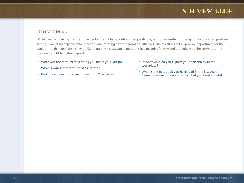#### CREATIVE THINKING

While creative thinking may be instrumental in an artistic position, this quality may also prove useful for changing job processes, problem solving, evaluating departmental functions and creating new programs or initiatives. The questions below provide opportunity for the applicant to demonstrate his/her ability to quickly discuss vague questions in a meaningful way and potentially tie the answers to the position for which he/she is applying.

- What was the most creative thing you did in your last job?
- What is your interpretation of "success"?
- Describe an ideal work environment or "the perfect job."
- In what ways do you express your personality in the workplace?
- What is the best book you have read in the last year? Please take a minute and discuss what you liked about it.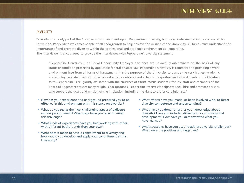#### **DIVERSITY**

Diversity is not only part of the Christian mission and heritage of Pepperdine University, but is also instrumental in the success of this institution. Pepperdine welcomes people of all backgrounds to help achieve the mission of the University. All hirees must understand the importance of and promote diversity within the professional and academic environment at Pepperdine. The interviewer is encouraged to provide the interviewee with Pepperdine's diversity statement:

"Pepperdine University is an Equal Opportunity Employer and does not unlawfully discriminate on the basis of any status or condition protected by applicable federal or state law. Pepperdine University is committed to providing a work environment free from all forms of harassment. It is the purpose of the University to pursue the very highest academic and employment standards within a context which celebrates and extends the spiritual and ethical ideals of the Christian faith. Pepperdine is religiously affiliated with the churches of Christ. While students, faculty, staff and members of the Board of Regents represent many religious backgrounds, Pepperdine reserves the right to seek, hire and promote persons who support the goals and mission of the institution, including the right to prefer coreligionists."

- How has your experience and background prepared you to be effective in this environment with this stance on diversity?
- What do you see as the most challenging aspect of a diverse working environment? What steps have you taken to meet this challenge?
- What kinds of experiences have you had working with others with different backgrounds than your own?
- What does it mean to have a commitment to diversity and how would you develop and apply your commitment at this University?
- What efforts have you made, or been involved with, to foster diversity competence and understanding?
- What have you done to further your knowledge about diversity? Have you included diversity in your professional development? How have you demonstrated what you have learned?
- What strategies have you used to address diversity challenges? What were the positives and negatives?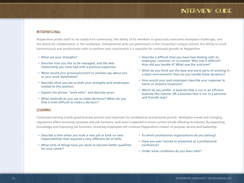#### INTERPERSONAL

Pepperdine prides itself on its closely-knit community, the ability of its members to graciously overcome workplace challenges, and the desire for collaboration in the workplace. Interpersonal skills are paramount in the University's unique culture; the ability to work harmoniously and productively with co-workers and constituents is a requisite for continued growth at Pepperdine.

- What are your strengths?
- Describe how you like to be managed, and the best relationship you have had with a previous supervisor.
- What would your previous/current co-workers say about you or your work style/habits?
- Describe what you see as both your strengths and weaknesses related to this position.
- Explain the phrase "work ethic" and describe yours.
- What methods do you use to make decisions? When do you find it most difficult to make a decision?
- Describe a difficult time you have had dealing with an employee, customer, or co-worker. Why was it difficult? How did you handle it? What was the outcome?
- What do you think are the best and worst parts of working in a team environment? How do you handle these dynamics?
- How would your past employers describe your response to hectic or stressful situations?
- Which do you prefer: A business that is run in an efficient business-like manner OR a business that is run in a personal and friendly way?

#### LEARNING

Continued learning is both good business practice and important for professional and personal growth. Workplace trends and changing regulations affect University processes and job functions; each area is expected to know current trends affecting its industry. By expanding knowledge and improving job functions, University employees will continue Pepperdine's mission of purpose, service and leadership.

- Describe a time when you took a new job or took on new responsibilities that required a very different set of skills.
- What sorts of things have you done to become better qualified for your career?
- To which professional organizations do you belong?
- Have you ever trained or presented at a professional conference?
- Under what conditions do you learn best?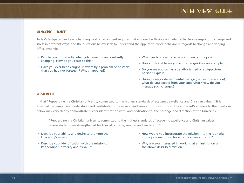#### MANAGING CHANGE

Today's fast-paced and ever-changing work environment requires that workers be flexible and adaptable. People respond to change and stress in different ways, and the questions below seek to understand the applicant's work behavior in regards to change and varying office dynamics.

- People react differently when job demands are constantly changing. How do you react to this?
- Have you ever been caught unaware by a problem or obstacle that you had not foreseen? What happened?
- What kinds of events cause you stress on the job?
- How comfortable are you with change? Give an example.
- Do you see yourself as a detail-oriented or a big-picture person? Explain.
- During a major departmental change (i.e. re-organization), what do you expect from your supervisor? How do you manage such changes?

#### MISSION FIT

In that "Pepperdine is a Christian university committed to the highest standards of academic excellence and Christian values," it is essential that employees understand and contribute to the mission and vision of this institution. The applicant's answers to the questions below may very clearly demonstrate his/her identification with, and dedication to, the heritage and direction of the University.

"Pepperdine is a Christian university committed to the highest standards of academic excellence and Christian values, where students are strengthened for lives of purpose, service, and leadership."

- Describe your ability and desire to promote the University's mission.
- Describe your identification with the mission of Pepperdine University and its values.
- How would you incorporate the mission into the job tasks in the job description for which you are applying?
- Why are you interested in working at an institution with the above-described mission?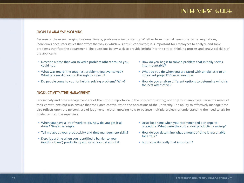#### PROBLEM ANALYSIS/SOLVING

Because of the ever-changing business climate, problems arise constantly. Whether from internal issues or external regulations, individuals encounter issues that affect the way in which business is conducted; it is important for employees to analyze and solve problems that face the department. The questions below seek to provide insight into the critical thinking process and analytical skills of the applicants.

- Describe a time that you solved a problem others around you could not.
- What was one of the toughest problems you ever solved? What process did you go through to solve it?
- Do people come to you for help in solving problems? Why?

#### PRODUCTIVITY/TIME MANAGEMENT

- How do you begin to solve a problem that initially seems insurmountable?
- What do you do when you are faced with an obstacle to an important project? Give an example.
- How do you analyze different options to determine which is the best alternative?

Productivity and time management are of the utmost importance in the non-profit setting; not only must employees serve the needs of their constituents but also ensure that their area contributes to the operations of the University. The ability to effectively manage time also reflects upon the person's use of judgment – either knowing how to balance multiple projects or understanding the need to ask for guidance from the supervisor.

- When you have a lot of work to do, how do you get it all done? Give an example.
- Tell me about your productivity and time management skills?
- Describe a time when you identified a barrier to your (and/or others') productivity and what you did about it.
- Describe a time when you recommended a change to procedure. What were the cost and/or productivity savings?
- How do you determine what amount of time is reasonable for a task?
- Is punctuality really that important?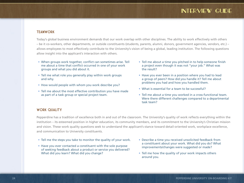#### TEAMWORK

Today's global business environment demands that our work overlap with other disciplines. The ability to work effectively with others – be it co-workers, other departments, or outside constituents (students, parents, alumni, donors, government agencies, vendors, etc.) – allows employees to most effectively contribute to the University's vision of being a global, leading institution. The following questions allow insight into the applicant's interaction with others.

- When groups work together, conflict can sometimes arise. Tell me about a time that conflict occurred in one of your work groups and what you did about it.
- Tell me what role you generally play within work groups and why.
- How would people with whom you work describe you?
- Tell me about the most effective contribution you have made as part of a task group or special project team.
- Tell me about a time you pitched in to help someone finish a project even though it was not "your job." What was the result?
- Have you ever been in a position where you had to lead a group of peers? How did you handle it? Tell me about problems you had and how you handled them.
- What is essential for a team to be successful?
- Tell me about a time you worked in a cross-functional team. Were there different challenges compared to a departmental task team?

#### WORK QUALITY

Pepperdine has a tradition of excellence both in and out of the classroom. The University's quality of work reflects everything within the institution – its esteemed position in higher education, its community members, and its commitment to the University's Christian mission and vision. These work quality questions seek to understand the applicant's stance toward detail-oriented work, workplace excellence, and communication to University constituents.

- Tell me the steps you take to monitor the quality of your work.
- Have you ever contacted a constituent with the sole purpose of seeking feedback about a product or service you delivered? What did you learn? What did you change?
- Describe a time you received unsolicited feedback from a constituent about your work. What did you do? What improvements/changes were suggested or made?
- Tell me how the quality of your work impacts others around you.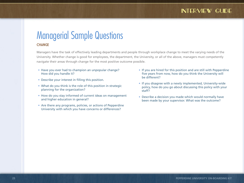# Managerial Sample Questions

#### **CHANGE**

Managers have the task of effectively leading departments and people through workplace change to meet the varying needs of the University. Whether change is good for employees, the department, the University, or all of the above, managers must competently navigate their areas through change for the most positive outcome possible.

- Have you ever had to champion an unpopular change? How did you handle it?
- Describe your interest in filling this position.
- What do you think is the role of this position in strategic planning for the organization?
- How do you stay informed of current ideas on management and higher education in general?
- Are there any programs, policies, or actions of Pepperdine University with which you have concerns or differences?
- If you are hired for this position and are still with Pepperdine five years from now, how do you think the University will be different?
- If you disagree with a newly implemented, University-wide policy, how do you go about discussing this policy with your staff?
- Describe a decision you made which would normally have been made by your supervisor. What was the outcome?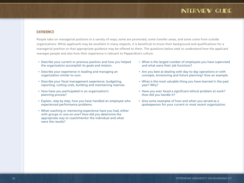#### **EXPERIENCE**

People take on managerial positions in a variety of ways; some are promoted, some transfer areas, and some come from outside organizations. While applicants may be excellent in many respects, it is beneficial to know their background and qualifications for a managerial position so that appropriate guidance may be offered to them. The questions below seek to understand how the applicant manages people and also how their experience is relevant to Pepperdine's culture.

- Describe your current or previous position and how you helped the organization accomplish its goals and mission.
- Describe your experience in leading and managing an organization similar to ours.
- Describe your fiscal management experience: budgeting, reporting, cutting costs, building and maintaining reserves.
- How have you participated in an organization's planning process?
- Explain, step by step, how you have handled an employee who experienced performance problems.
- What coaching or mentoring experience have you had, either with groups or one-on-one? How did you determine the appropriate way to coach/mentor the individual and what were the results?
- What is the largest number of employees you have supervised and what were their job functions?
- Are you best at dealing with day-to-day operations or with concepts, envisioning and future planning? Give an example.
- What is the most valuable thing you have learned in the past year? Why?
- Have you ever faced a significant ethical problem at work? How did you handle it?
- Give some examples of how and when you served as a spokesperson for your current or most recent organization.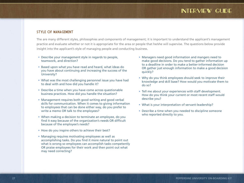#### STYLE OF MANAGEMENT

The are many different styles, philosophies and components of management; it is important to understand the applicant's management practice and evaluate whether or not it is appropriate for the area or people that he/she will supervise. The questions below provide insight into the applicant's style of managing people and conducting business.

- Describe your management style in regards to people, teamwork, and direction?
- Based upon what you have read and heard, what ideas do you have about continuing and increasing the success of the University?
- What was the most challenging personnel issue you have had to deal with and how did you handle it?
- Describe a time when you have come across questionable business practices. How did you handle the situation?
- Management requires both good writing and good verbal skills for communication. When it comes to giving information to employees that can be done either way, do you prefer to write a memo OR talk to the employees?
- When making a decision to terminate an employee, do you find it easy because of the organization's needs OR difficult because of the employee's needs?
- How do you inspire others to achieve their best?
- Managing requires motivating employees as well as accomplishing tasks. Do you find it more natural to point out what is wrong so employees can accomplish tasks competently OR praise employees for their work and then point out what may need correcting?
- Managers need good information and mangers need to make good decisions. Do you tend to gather information up to a deadline in order to make a better-informed decision OR gather just enough information to make a good decision quickly?
- Why do you think employees should seek to improve their knowledge and skill base? How would you motivate them to do so?
- Tell me about your experiences with staff development. How do you think your current or most recent staff would describe you?
- What is your interpretation of servant-leadership?
- Describe a time when you needed to discipline someone who reported directly to you.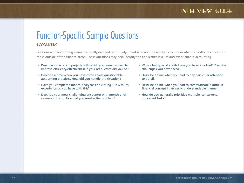# Function-Specific Sample Questions

#### ACCOUNTING

Positions with accounting elements usually demand both finely-tuned skills and the ability to communicate often difficult concepts to those outside of the finance arena. These questions may help identify the applicant's level of and experience in accounting.

- Describe some recent projects with which you were involved to improve efficiency/effectiveness in your area. What did you do?
- Describe a time when you have come across questionable accounting practices. How did you handle the situation?
- Have you completed month-end/year-end closing? How much experience do you have with this?
- Describe your most challenging encounter with month-end/ year-end closing. How did you resolve the problem?
- With what type of audits have you been involved? Describe challenges you have faced.
- Describe a time when you had to pay particular attention to detail.
- Describe a time when you had to communicate a difficult financial concept in an easily understandable manner.
- How do you generally prioritize multiple, concurrent, important tasks?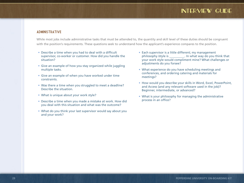#### ADMINISTRATIVE

While most jobs include administrative tasks that must be attended to, the quantity and skill level of these duties should be congruent with the position's requirements. These questions seek to understand how the applicant's experience compares to the position.

- Describe a time when you had to deal with a difficult supervisor, co-worker or customer. How did you handle the situation?
- Give an example of how you stay organized while juggling multiple tasks.
- Give an example of when you have worked under time constraints.
- Was there a time when you struggled to meet a deadline? Describe the situation.
- What is unique about your work style?
- Describe a time when you made a mistake at work. How did you deal with this situation and what was the outcome?
- What do you think your last supervisor would say about you and your work?
- Each supervisor is a little different; my management philosophy /style is . In what way do you think that your work style would compliment mine? What challenges or adjustments do you forsee?
- What experience do you have scheduling meetings and conferences, and ordering catering and materials for meetings?
- How would you describe your skills in Word, Excel, PowerPoint, and Access (and any relevant software used in the job)? Beginner, intermediate, or advanced?
- What is your philosophy for managing the administrative process in an office?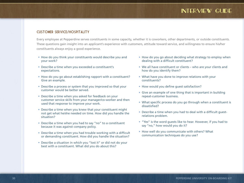#### CUSTOMER SERVICE/HOSPITALITY

Every employee at Pepperdine serves constituents in some capacity, whether it is coworkers, other departments, or outside constituents. These questions gain insight into an applicant's experience with customers, attitude toward service, and willingness to ensure his/her constituents always enjoy a good experience.

- How do you think your constituents would describe you and your work?
- Describe a time when you exceeded a constituent's expectations.
- How do you go about establishing rapport with a constituent? Give an example.
- Describe a process or system that you improved so that your customer would be better served.
- Describe a time when you asked for feedback on your customer service skills from your manager/co-worker and then used that response to improve your work.
- Describe a time when you knew that your constituent might not get what he/she needed on time. How did you handle the situation?
- Describe a time when you had to say "no" to a constituent because it was against company policy.
- Describe a time when you had trouble working with a difficult or demanding constituent. How did you handle the situation?
- Describe a situation in which you "lost it" or did not do your best with a constituent. What did you do about this?
- How do you go about deciding what strategy to employ when dealing with a difficult constituent?
- We all have constituent or clients who are your clients and how do you identify them?
- What have you done to improve relations with your constituents?
- How would you define guest satisfaction?
- Give an example of one thing that is important in building repeat-customer business.
- What specific process do you go through when a constituent is dissatisfied?
- Describe a time when you had to deal with a difficult guestrelations problem.
- "Yes" is the word guests like to hear. However, if you had to say "no," how would you do it?
- How well do you communicate with others? What communication techniques do you use?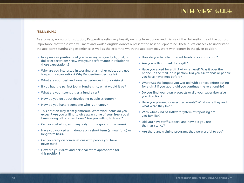#### FUNDRAISING

As a private, non-profit institution, Pepperdine relies very heavily on gifts from donors and friends of the University; it is of the utmost importance that those who will meet and work alongside donors represent the best of Pepperdine. These questions seek to understand the applicant's fundraising experience as well as the extent to which the applicant may work with donors in the given position.

- In a previous position, did you have any assigned job, goal, or dollar expectations? How was your performance in relation to those expectations?
- Why are you interested in working at a higher-education, notfor-profit organization? Why Pepperdine specifically?
- What are your best and worst experiences in fundraising?
- If you had the perfect job in fundraising, what would it be?
- What are your strengths as a fundraiser?
- How do you go about developing people as donors?
- How do you handle someone who is unhappy?
- This position may seem glamorous. What work hours do you expect? Are you willing to give away some of your free, social time during off business hours? Are you willing to travel?
- Can you get along with anybody for the good of the cause?
- Have you worked with donors on a short term (annual fund) or long term basis?
- Can you carry on conversations with people you have never met?
- How are your dress and personal attire appropriate for this position?
- How do you handle different levels of sophistication?
- Are you willing to ask for a gift?
- Have you asked for a gift? At what level? Was it over the phone, in the mail, or in person? Did you ask friends or people you have never met before?
- What was the longest you worked with donors before asking for a gift? If you got it, did you continue the relationship?
- Do you find your own prospects or did your supervisor give you direction?
- Have you planned or executed events? What were they and what were they like?
- With what kind of software system of reporting are you familiar?
- Did you have staff support, and how did you use their assistance?
- Are there any training programs that were useful to you?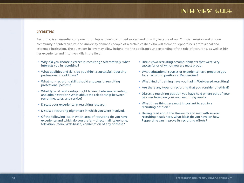#### RECRUITING

Recruiting is an essential component for Pepperdine's continued success and growth; because of our Christian mission and unique community-oriented culture, the University demands people of a certain caliber who will thrive at Pepperdine's professional and esteemed institution. The questions below may allow insight into the applicant's understanding of the role of recruiting, as well as his/ her experience and intuitive skills in the field.

- Why did you choose a career in recruiting? Alternatively, what interests you in recruiting?
- What qualities and skills do you think a successful recruiting professional should have?
- What non-recruiting skills should a successful recruiting professional possess?
- What type of relationship ought to exist between recruiting and administration? What about the relationship between recruiting, sales, and service?
- Discuss your experience in recruiting research.
- Discuss a recruiting nightmare in which you were involved.
- Of the following list, in which area of recruiting do you have experience and which do you prefer – direct mail, telephone, television, radio, Web-based, combination of any of these?
- Discuss two recruiting accomplishments that were very successful or of which you are most proud.
- What educational courses or experience have prepared you for a recruiting position at Pepperdine?
- What kind of training have you had in Web-based recruiting?
- Are there any types of recruiting that you consider unethical?
- Discuss a recruiting position you have held where part of your pay was based on your own recruiting results.
- What three things are most important to you in a recruiting position?
- Having read about the University and met with several recruiting heads here, what ideas do you have on how Pepperdine can improve its recruiting efforts?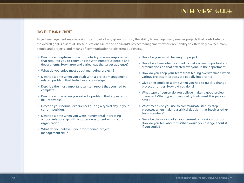#### PROJECT MANAGEMENT

Project management may be a significant part of any given position; the ability to manage many smaller projects that contribute to the overall goal is essential. These questions ask of the applicant's project management experience, ability to effectively oversee many people and projects, and means of communication to different audiences.

- Describe a long-term project for which you were responsible that required you to communicate with numerous people and departments. How large and varied was the target audience?
- What do you enjoy most about managing projects?
- Describe a time when you dealt with a project-managementrelated problem that tested your knowledge.
- Describe the most important written report that you had to complete.
- Describe a time when you solved a problem that appeared to be unsolvable.
- Describe your normal experiences during a typical day in your current position.
- Describe a time when you were instrumental in creating a good relationship with another department within your organization.
- What do you believe is your most honed project management skill?
- Describe your most challenging project.
- Describe a time when you had to make a very important and difficult decision that affected everyone in the department.
- How do you keep your team from feeling overwhelmed when various projects in process are equally important?
- Give an example of a time when you had to quickly change project priorities. How did you do it?
- What type of person do you believe makes a good project manager? What type of personality traits must this person have?
- What means do you use to communicate step-by-step processes when making a critical decision that involves other team members?
- Describe the workload at your current or previous position. How do you feel about it? What would you change about it, if you could?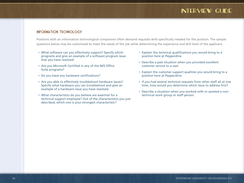#### INFORMATION TECHNOLOGY

Positions with an information technological component often demand requisite skills specifically needed for the position. The sample questions below may be customized to meet the needs of the job while determining the experience and skill level of the applicant.

- What software can you effectively support? Specify which programs and give an example of a software program issue that you have resolved.
- Are you Microsoft Certified in any of the M/S Office Suite programs?
- Do you have any hardware certifications?
- Are you able to effectively troubleshoot hardware issues? Specify what hardware you can troubleshoot and give an example of a hardware issue you have resolved.
- What characteristics do you believe are essential for a technical support employee? Out of the characteristics you just described, which one is your strongest characteristic?
- Explain the technical qualifications you would bring to a position here at Pepperdine.
- Describe a past situation when you provided excellent customer service to a user.
- Explain the customer support qualities you would bring to a position here at Pepperdine.
- If you had several technical requests from other staff all at one time, how would you determine which issue to address first?
- Describe a situation when you worked with or assisted a nontechnical work group or staff person.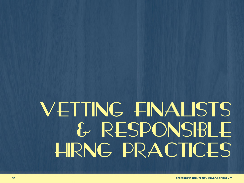# VETTING FINALISTS & RESPONSIBLE HIRNG PRACTICES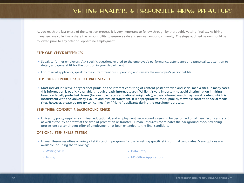# VETTING FINALISTS & RESPONSIBLE HIRING PPRACTICES

As you reach the last phase of the selection process, it is very important to follow through by thoroughly vetting finalists. As hiring managers, we collectively share the responsibility to ensure a safe and secure campus community. The steps outlined below should be followed prior to any offer of Pepperdine employment.

#### STEP ONE: CHECK REFERENCES

- Speak to former employers. Ask specific questions related to the employee's performance, attendance and punctuality, attention to detail, and general fit for the position in your department.
- For internal applicants, speak to the current/previous supervisor, and review the employee's personnel file.

#### STEP TWO: CONDUCT BASIC INTERNET SEARCH

• Most individuals leave a "cyber foot print" on the internet consisting of content posted to web and social media sites. In many cases, this information is publicly available through a basic internet search. While it is very important to avoid discrimination in hiring based on legally protected classes (for example, race, sex, national origin, etc.), a basic internet search may reveal content which is inconsistent with the University's values and mission statement. It is appropriate to check publicly viewable content on social media sites, however, please do not try to "connect" or "friend" applicants during the recruitment process.

#### STEP THREE: CONDUCT A BACKGROUND CHECK

• University policy requires a criminal, educational, and employment background screening be performed on all new faculty and staff, as well as faculty and staff at the time of promotion or transfer. Human Resources coordinates the background check screening process once a contingent offer of employment has been extended to the final candidate.

#### OPTIONAL STEP: SKILLS TESTING

- Human Resources offers a variety of skills testing programs for use in vetting specific skills of final candidates. Many options are available including the following:
	- » Writing Skills

» Data Entry

» Typing

» MS Office Applications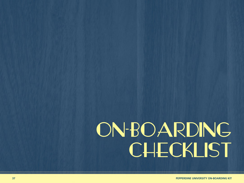# ON-BOARDING **CHECKLIST**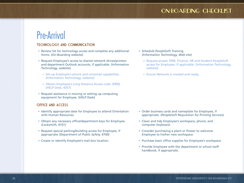# ON-BOARDING CHECKLIST

# Pre-Arrival

#### TECHNOLOGY AND COMMUNICATION

- Review list for technology access and complete any additional forms. (On-Boarding website)
- Request Employee's access to shared network drives/printers and department Outlook accounts, if applicable. (Information Technology, website)
	- » Set-up Employee's phone and voicemail capabilities. (Information Technology, website)
	- » Obtain Employee's Long Distance Access code. (PBN) (HELP Desk, 4357)
- Request assistance in moving or setting up computing equipment for Employee. (HELP Desk)

#### OFFICE AND ACCESS

- Identify appropriate date for Employee to attend Orientation with Human Resources.
- Obtain any necessary office/department keys for Employee. *(Locksmith, 4101)*
- Request special parking/building access for Employee, if appropriate *(Department of Public Safety, 4700)*
- Create or identify Employee's mail box location.
- Schedule PeopleSoft Training. *(Information Technology, Web site)*
	- » Request proper EPM, Finance, HR and Student PeopleSoft access for Employee, if applicable. (Information Technology, website)
	- » Ensure Network is created and ready.

- Order business cards and nameplate for Employee, if appropriate. *(PeopleSoft Requisition for Printing Services)*
- Clean and tidy Employee's workspace, phone, and computer keyboard.
- Consider purchasing a plant or flower to welcome Employee to his/her new workspace.
- Purchase basic office supplies for Employee's workspace.
- Provide Employee with the department or school staff handbook, if appropriate.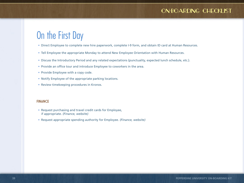# On the First Day

- Direct Employee to complete new hire paperwork, complete I-9 form, and obtain ID card at Human Resources.
- Tell Employee the appropriate Monday to attend New Employee Orientation with Human Resources.
- Discuss the Introductory Period and any related expectations (punctuality, expected lunch schedule, etc.).
- Provide an office tour and introduce Employee to coworkers in the area.
- Provide Employee with a copy code.
- Notify Employee of the appropriate parking locations.
- Review timekeeping procedures in Kronos.

#### FINANCE

- Request purchasing and travel credit cards for Employee, if appropriate. *(Finance, website)*
- Request appropriate spending authority for Employee. *(Finance, website)*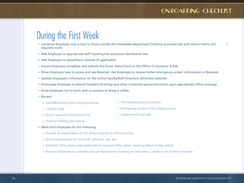# During the First Week

- Introduce Employee over e-mail to those outside the immediate department (internal and external) with whom he/she will regularly work. C
- Add Employee to appropriate staff meeting lists and email distribution lists.
- Add Employee to department website (if applicable).
- Ensure Employee completes and submits the Driver Status Form to the Office of Insurance & Risk.
- Show Employee how to access and use Wavenet. Ask Employee to review his/her emergency contact information in Wavenet.
- Update Employee's information on the online Faculty/Staff Directory. *(Directory website)*
- Encourage Employee to attend President Briefings and other University-sponsored events upon appropriate office coverage.
- Invite Employee out to lunch with co-workers or bring in coffee.
- Review:
	- » Confidentiality policy and procedures
	- » Campus map
	- » Phone and emil distribution list
- » Phone/voicemail procedures
- » Emergency protocol (fire staging area)
- » Department manuals

- » Internal mailing procedures
- Meet with Employee for the following:
	- » Provide an explanation of the daily schedule or office routine.
	- » Discuss procedures for time-off, calling in sick, etc.
	- » Establish office dress code expectations (regular office attire, meeting attire, Friday attire).
	- » Remind Employee to complete Sexual Harassment Training no later than 2 weeks from his/her hire date.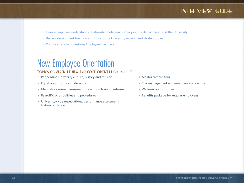- » Ensure Employee understands relationship between his/her job, the department, and the University.
- » Review department function and fit with the University mission and strategic plan.
- » Discuss any other questions Employee may have.

# New Employee Orientation

#### TOPICS COVERED AT NEW EMPLOYEE ORIENTATION INCLUDE:

- Pepperdine University culture, history and mission
- Equal opportunity and diversity
- Mandatory sexual harassment prevention training information
- Payroll/Kronos policies and procedures
- University-wide expectations, performance assessments, tuition remission
- Malibu campus tour
- Risk management and emergency procedures
- Wellness opportunities
- Benefits package for regular employees